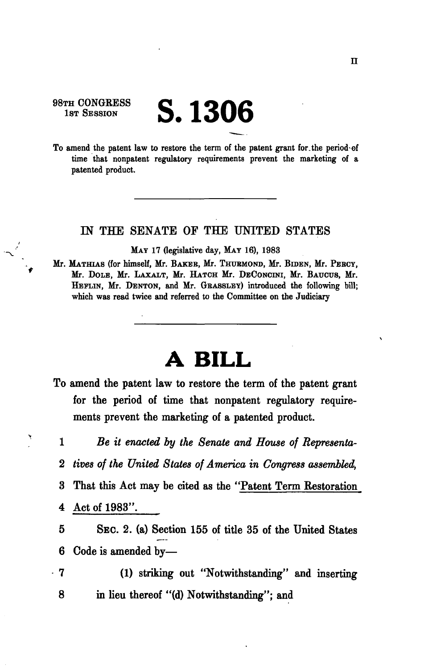98TH CONGRESS 1st Session

## **S. 1306**

To amend the patent law to restore the term of the patent grant for.the period of time that nonpatent regulatory requirements prevent the marketing of a patented product.

## IN THE SENATE OF THE UNITED STATES

MAY 17 (legislative day, MAY 16), 1983

Mr. MATHIAS (for himself, Mr. BAKEB, Mr. THUBMOND, Mr. BIDEN, Mr. PEBCY, Mr. DOLE, Mr. LAXALT, Mr. HATCH Mr. DECONCINI, Mr. BAUCUS, Mr. HEFLIN, Mr. DENTON, and Mr. GRASSLEY) introduced the following bill; which was read twice and referred to the Committee on the Judiciary

## **A BILL**

- To amend the patent law to restore the term of the patent grant for the period of time that nonpatent regulatory requirements prevent the marketing of a patented product.
	- *Be it enacted by the Senate and House of Representa-*1
	- *tives of the United States of America in Congress assembled,*  2
	- That this Act may be cited as the "Patent Term Restoration 3
- Act of 1983". 4
- SEC. 2. (a) Section 155 of title 35 of the United States Code is amended by— 5 6
- (1) striking out "Notwithstanding" and inserting in lieu thereof "(d) Notwithstanding"; and 7 8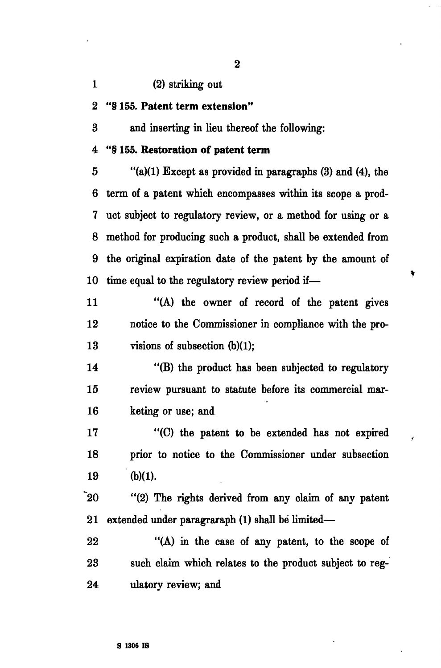1 (2) striking out

2 "§ 155. **Patent term extension"** 

3 and inserting in lieu thereof the following:

## 4 "§ 155. **Restoration of patent term**

 $5$  "(a)(1) Except as provided in paragraphs (3) and (4), the 6 term of a patent which encompasses within its scope a prod-7 uct subject to regulatory review, or a method for using or a 8 method for producing such a product, shall be extended from 9 the original expiration date of the patent by the amount of 10 time equal to the regulatory review period if—

11 "(A) the owner of record of the patent gives 12 notice to the Commissioner in compliance with the pro-13 visions of subsection (b)(1);

14 "(B) the product has been subjected to regulatory 15 review pursuant to statute before its commercial mar-16 keting or use; and

17 "(C) the patent to be extended has not expired 18 prior to notice to the Commissioner under subsection 19 (b)(1).

20 "(2) The rights derived from any claim of any patent 21 extended under paragraraph (1) shall be limited—

22 "(A) in the case of any patent, to the scope of 23 such claim which relates to the product subject to reg-24 ulatory review; and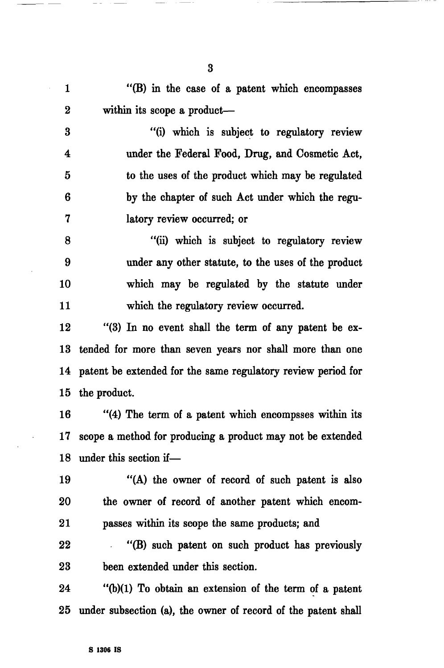1 "(B) in the case of a patent which encompasses 2 within its scope a product—

3 "(i) which is subject to regulatory review 4 under the Federal Food, Drug, and Cosmetic Act, 5 to the uses of the product which may be regulated 6 by the chapter of such Act under which the regu-7 latory review occurred; or

8 "(ii) which is subject to regulatory review 9 under any other statute, to the uses of the product 10 which may be regulated by the statute under 11 which the regulatory review occurred.

12 "(3) In no event shall the term of any patent be ex-13 tended for more than seven years nor shall more than one 14 patent be extended for the same regulatory review period for 15 the product.

16 "(4) The term of a patent which encompsses within its 17 scope a method for producing a product may not be extended 18 under this section if—

19 "(A) the owner of record of such patent is also 20 the owner of record of another patent which encom-21 passes within its scope the same products; and

22 "(B) such patent on such product has previously 23 been extended under this section.

24 "(b)(1) To obtain an extension of the term of a patent 25 under subsection (a), the owner of record of the patent shall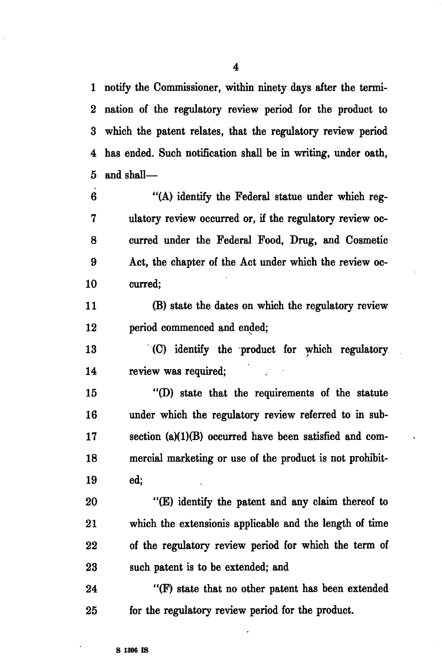1 notify the Commissioner, within ninety days after the termi-2 nation of the regulatory review period for the product to 3 which the patent relates, that the regulatory review period 4 has ended. Such notification shall he in writing, under oath, 5 and shall—

6 "(A) identify the Federal statue under which reg-7 ulatory review occurred or, if the regulatory review oc-8 curred under the Federal Food, Drug, and Cosmetic 9 Act, the chapter of the Act under which the review oc-10 curred;

11 (B) state the dates on which the regulatory review 12 period commenced and ended;

13 (C) identify the product for which regulatory 14 review was required;

15 "(D) state that the requirements of the statute 16 under which the regulatory review referred to in sub-17 section (a)(1)(B) occurred have been satisfied and com-18 mercial marketing or use of the product is not prohibit-19 ed;

20 "(E) identify the patent and any claim thereof to 21 which the extensionis applicable and the length of time 22 of the regulatory review period for which the term of 23 such patent is to be extended; and

24 "(F) state that no other patent has been extended 25 for the regulatory review period for the product.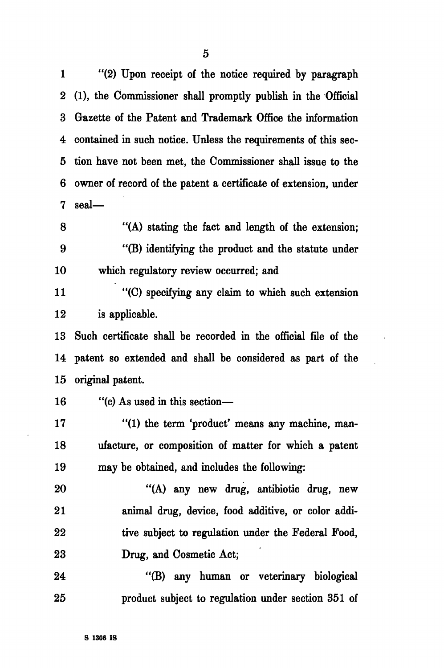1 "(2) Upon receipt of the notice required by paragraph 2 (1), the Commissioner shall promptly publish in the Official 3 Gazette of the Patent and Trademark Office the information 4 contained in such notice. Unless the requirements of this sec-5 tion have not been met, the Commissioner shall issue to the 6 owner of record of the patent a certificate of extension, under 7 seal—

8 "(A) stating the fact and length of the extension; 9 "(B) identifying the product and the statute under 10 which regulatory review occurred; and

11 "(C) specifying any claim to which such extension 12 is applicable.

13 Such certificate shall be recorded in the official file of the 14 patent so extended and shall be considered as part of the 15 original patent.

16 "(c) As used in this section—

17 "(1) the term 'product' means any machine, man-18 ufacture, or composition of matter for which a patent 19 may be obtained, and includes the following:

20 "(A) any new drug, antibiotic drug, new 21 animal drug, device, food additive, or color addi-22 tive subject to regulation under the Federal Food, 23 Drug, and Cosmetic Act;

24 "(B) any human or veterinary biological 25 product subject to regulation under section 351 of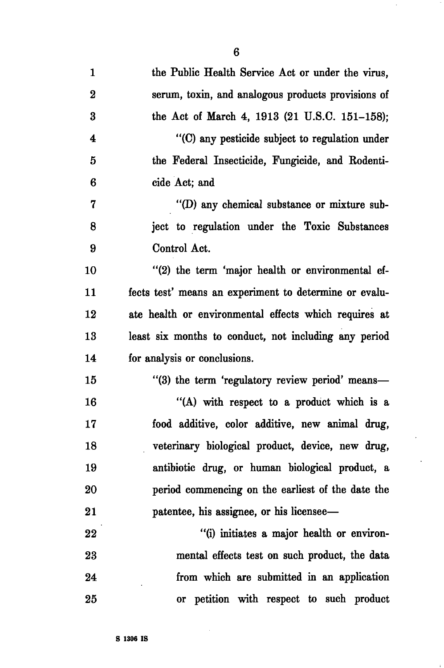| $\mathbf{1}$            | the Public Health Service Act or under the virus,      |
|-------------------------|--------------------------------------------------------|
| $\bf{2}$                | serum, toxin, and analogous products provisions of     |
| $\bf{3}$                | the Act of March 4, 1913 (21 U.S.C. 151–158);          |
| $\overline{\mathbf{4}}$ | "(C) any pesticide subject to regulation under         |
| 5                       | the Federal Insecticide, Fungicide, and Rodenti-       |
| 6                       | cide Act; and                                          |
| $\mathbf 7$             | "(D) any chemical substance or mixture sub-            |
| 8                       | ject to regulation under the Toxic Substances          |
| 9                       | Control Act.                                           |
| 10                      | "(2) the term 'major health or environmental ef-       |
| 11                      | fects test' means an experiment to determine or evalu- |
| 12                      | ate health or environmental effects which requires at  |
| 13                      | least six months to conduct, not including any period  |
| 14                      | for analysis or conclusions.                           |
| 15                      | "(3) the term 'regulatory review period' means—        |
| 16                      | "(A) with respect to a product which is a              |
| 17                      | food additive, color additive, new animal drug,        |
| 18                      | veterinary biological product, device, new drug,       |
| 19                      | antibiotic drug, or human biological product, a        |
| 20                      | period commencing on the earliest of the date the      |
| 21                      | patentee, his assignee, or his licensee—               |
| $\overline{22}$         | "(i) initiates a major health or environ-              |
|                         |                                                        |

23 mental effects test on such product, the data 24 from which are submitted in an application 25 or petition with respect to such product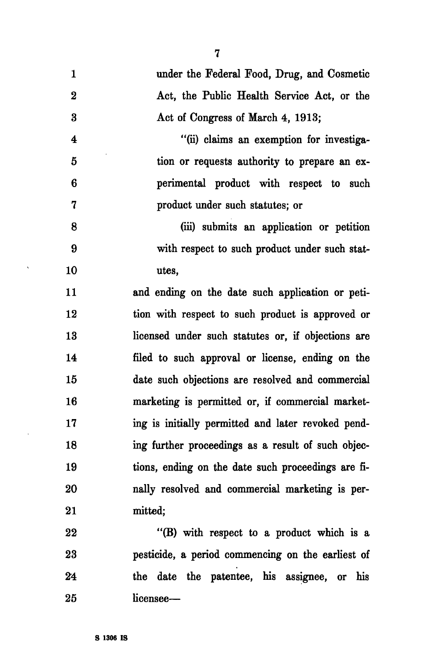| $\mathbf{1}$     | under the Federal Food, Drug, and Cosmetic         |
|------------------|----------------------------------------------------|
| $\boldsymbol{2}$ | Act, the Public Health Service Act, or the         |
| $\bf{3}$         | Act of Congress of March 4, 1913;                  |
| $\boldsymbol{4}$ | "(ii) claims an exemption for investiga-           |
| 5                | tion or requests authority to prepare an ex-       |
| 6                | perimental product with respect to such            |
| $\mathbf 7$      | product under such statutes; or                    |
| 8                | (iii) submits an application or petition           |
| 9                | with respect to such product under such stat-      |
| 10               | utes,                                              |
| 11               | and ending on the date such application or peti-   |
| 12               | tion with respect to such product is approved or   |
| 13               | licensed under such statutes or, if objections are |
| 14               | filed to such approval or license, ending on the   |
| 15               | date such objections are resolved and commercial   |
| 16               | marketing is permitted or, if commercial market-   |
| 17               | ing is initially permitted and later revoked pend- |
| 18               | ing further proceedings as a result of such objec- |
| 19               | tions, ending on the date such proceedings are fi- |
| 20               | nally resolved and commercial marketing is per-    |
| 21               | mitted;                                            |
| 22               | "(B) with respect to a product which is a          |
| 23               | pesticide, a period commencing on the earliest of  |
| 24               | the date the patentee, his assignee, or<br>his     |

7

 $\Delta$ 

 $\sim$ 

25 licensee—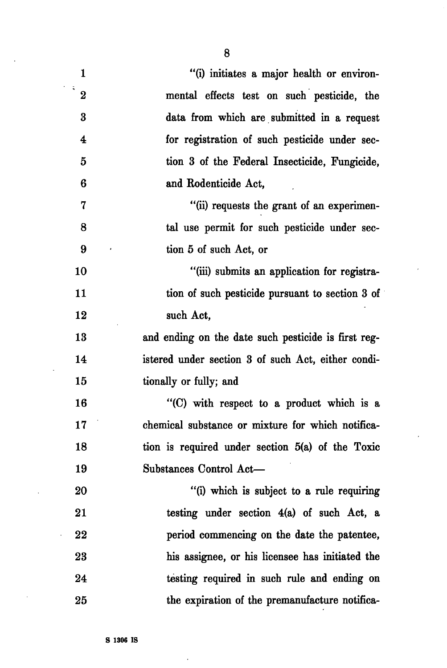| $\mathbf{1}$            | "(i) initiates a major health or environ-           |
|-------------------------|-----------------------------------------------------|
| i.<br>$\bf{2}$          | mental effects test on such pesticide, the          |
| $\bf{3}$                | data from which are submitted in a request          |
| $\overline{\mathbf{4}}$ | for registration of such pesticide under sec-       |
| 5                       | tion 3 of the Federal Insecticide, Fungicide,       |
| 6                       | and Rodenticide Act,                                |
| $\mathbf 7$             | "(ii) requests the grant of an experimen-           |
| 8                       | tal use permit for such pesticide under sec-        |
| 9                       | tion 5 of such Act, or                              |
| 10                      | "(iii) submits an application for registra-         |
| 11                      | tion of such pesticide pursuant to section 3 of     |
| 12                      | such Act,                                           |
| 13                      | and ending on the date such pesticide is first reg- |
| 14                      | istered under section 3 of such Act, either condi-  |
| 15                      | tionally or fully; and                              |
| 16                      | "(C) with respect to a product which is a           |
| 17                      | chemical substance or mixture for which notifica-   |
| 18                      | tion is required under section $5(a)$ of the Toxic  |
| 19                      | Substances Control Act-                             |
| 20                      | "(i) which is subject to a rule requiring           |
| 21                      | testing under section 4(a) of such Act, a           |
| 22                      | period commencing on the date the patentee,         |
| 23                      | his assignee, or his licensee has initiated the     |
| 24                      | testing required in such rule and ending on         |
| 25                      | the expiration of the premanufacture notifica-      |

 $\overline{ }$ 

8

 $\overline{\phantom{a}}$ 

 $\bar{z}$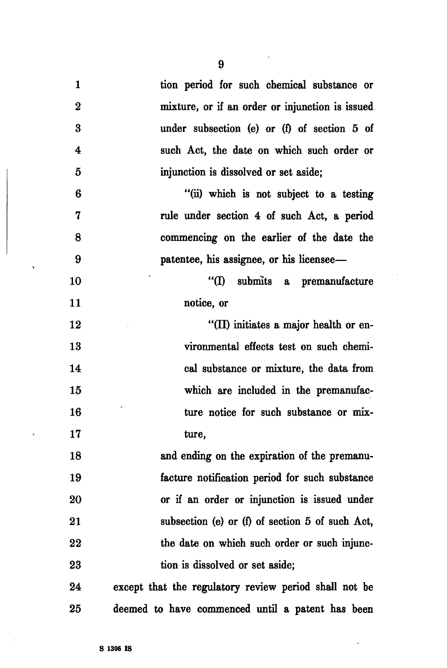| $\mathbf{1}$            | tion period for such chemical substance or            |
|-------------------------|-------------------------------------------------------|
| $\bf{2}$                | mixture, or if an order or injunction is issued       |
| $\bf{3}$                | under subsection (e) or (f) of section 5 of           |
| $\overline{\mathbf{4}}$ | such Act, the date on which such order or             |
| 5                       | injunction is dissolved or set aside;                 |
| 6                       | "(ii) which is not subject to a testing               |
| 7                       | rule under section 4 of such Act, a period            |
| 8                       | commencing on the earlier of the date the             |
| 9                       | patentee, his assignee, or his licensee—              |
| 10                      | "(I) submits a premanufacture                         |
| 11                      | notice, or                                            |
| 12                      | "(II) initiates a major health or en-                 |
| 13                      | vironmental effects test on such chemi-               |
| 14                      | cal substance or mixture, the data from               |
| 15                      | which are included in the premanufac-                 |
| 16                      | ture notice for such substance or mix-                |
| 17                      | ture,                                                 |
| 18                      | and ending on the expiration of the premanu-          |
| 19                      | facture notification period for such substance        |
| 20                      | or if an order or injunction is issued under          |
| 21                      | subsection (e) or (f) of section 5 of such Act,       |
| 22                      | the date on which such order or such injunc-          |
| 23                      | tion is dissolved or set aside;                       |
| 24                      | except that the regulatory review period shall not be |
| 25                      | deemed to have commenced until a patent has been      |

 $\ddot{\phantom{0}}$ 

 $\ddot{\phantom{a}}$ 

 $\ddot{\phantom{1}}$ 

 $\bar{\mathbf{v}}$ 

 $\hat{\boldsymbol{\beta}}$ 

 $\sim$